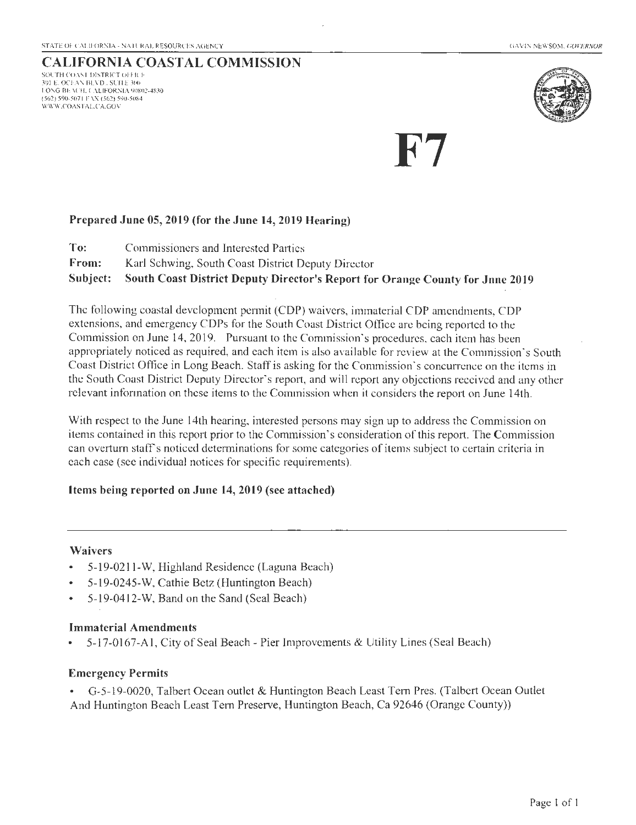## CALIFORNIA COASTAL COMMISSION

SOUTH COAST DISTRICT OFFICE 301 E. OCEAN BLVD., SUITE 300 LONG BEACH, CALIFORNIA 90802-4830 (562) 590-5071 FAX (562) 590-5084 \VIVIV.COASTAL.C A.GOV



F7

### Prepared June 05,2019 (for the June 14,2019 Hearing)

To: Commissioners and Interested Parties

From: Karl Schwing, South Coast District Deputy Director

Subject: South Coast District Deputy Director's Report for Orange County for Jnne 2019

The following coastal development permit (COP) waivers, immaterial COP amendments, COP extensions, and emergency COPs for the South Coast District Office are being reported to the Commission on June 14, 2019. Pursuant to the Commission's procedures, each item has been appropriately noticed as required, and each item is also available for review at the Commission's South Coast District Office in Long Beach. Staff is asking for the Commission· s concurrence on the items in the South Coast District Deputy Director's report, and will report any objections received and any other relevant information on these items to the Commission when it considers the report on June 14th.

With respect to the June 14th hearing, interested persons may sign up to address the Commission on items contained in this report prior to the Commission's consideration of this report. The Commission can overturn staff's noticed determinations for some categories of items subject to certain criteria in each case (see individual notices for specific requirements).

### Items being reported on June 14, 2019 (see attached)

### Waivers

- 5-19-0211-W, Highland Residence (Laguna Beach)
- 5-19-0245-W, Cathie Betz (Huntington Beach)
- 5-19-0412-W, Band on the Sand (Seal Beach)

### Immaterial Amendments

• 5-17-0 167-A l, City of Seal Beach- Pier Improvements & Utility Lines (Seal Beach)

### Emergency Permits

• G-5-19-0020, Talbert Ocean outlet & Huntington Beach Least Tern Pres. (Talbert Ocean Outlet And Huntington Beach Least Tern Preserve, Huntington Beach, Ca 92646 (Orange County))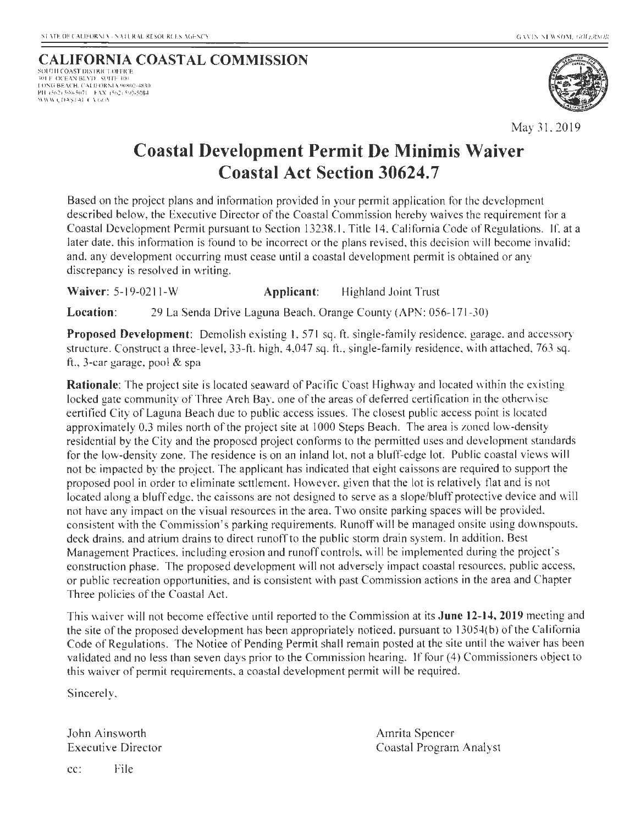SOUTH COAST DISTRICT OFFICE 101 F OCEAN BLVD . SUITI· 100 I ONG BEACH. CALIFORNIA 90R02-4830 PH (562) 590-5071 - FAX (562) 590-5084<br>WWW.COASTALOAGO\



May 31, 2019

# **Coastal Development Permit De Minimis Waiver Coastal Act Section 30624.7**

Based on the project plans and information provided in your permit application for the development described below, the Executive Director of the Coastal Commission hereby waives the requirement for a Coastal Development Permit pursuant to Section 13238.1 , Title 14, California Code of Regulations. If. at a later date, this information is found to be incorrect or the plans revised, this decision will become invalid; and, any development occurring must cease until a coastal development permit is obtained or any discrepancy is resolved in writing.

**Waiver:** 5-19-0211-W **Applicant:** Highland Joint Trust

**Location:** 29 La Senda Drive Laguna Beach, Orange County (APN: 056-171-30)

**Proposed Development:** Demolish existing 1, 571 sq. ft. single-family residence, garage, and accessory structure. Construct a three-level, 33-ft. high, 4,047 sq. ft. , single-family residence, with attached. 763 sq. ft., 3-car garage, pool & spa

**Rationale:** The project site is located seaward of Pacific Coast Highway and located within the existing locked gate community of Three Arch Bay. one of the areas of deferred certification in the otherwise certified City of Laguna Beach due to public access issues. The closest public access point is located approximately 0.3 miles north of the project site at 1000 Steps Beach. The area is zoned low-density residential by the City and the proposed project conforms to the permitted uses and development standards for the low-density zone. The residence is on an inland lot, not a bluff-edge lot. Public coastal views will not be impacted by the project. The applicant has indicated that eight caissons are required to support the proposed pool in order to eliminate settlement. However, given that the lot is relatively flat and is not located along a bluff edge, the caissons are not designed to serve as a slope/bluff protective device and will not have any impact on the visual resources in the area. Two onsite parking spaces will be provided. consistent with the Commission's parking requirements. Runoff will be managed onsite using downspouts, deck drains. and atrium drains to direct runoff to the public storm drain system. In addition. Best Management Practices, including erosion and runoff controls, will be implemented during the project's construction phase. The proposed development will not adversely impact coastal resources, public access, or public recreation oppottunities, and is consistent with past Commission actions in the area and Chapter Three policies of the Coastal Act.

This waiver will not become effective until reported to the Commission at its **June 12-14, 2019** meeting and the site of the proposed development has been appropriately noticed, pursuant to 13054(b) of the California Code of Regulations. The Notice of Pending Permit shall remain posted at the site until the waiver has been validated and no less than seven days prior to the Commission hearing. If four (4) Commissioners object to this waiver of permit requirements, a coastal development permit will be required.

Sincerely,

John Ainsworth Executive Director Amrita Spencer Coastal Program Analyst

cc: File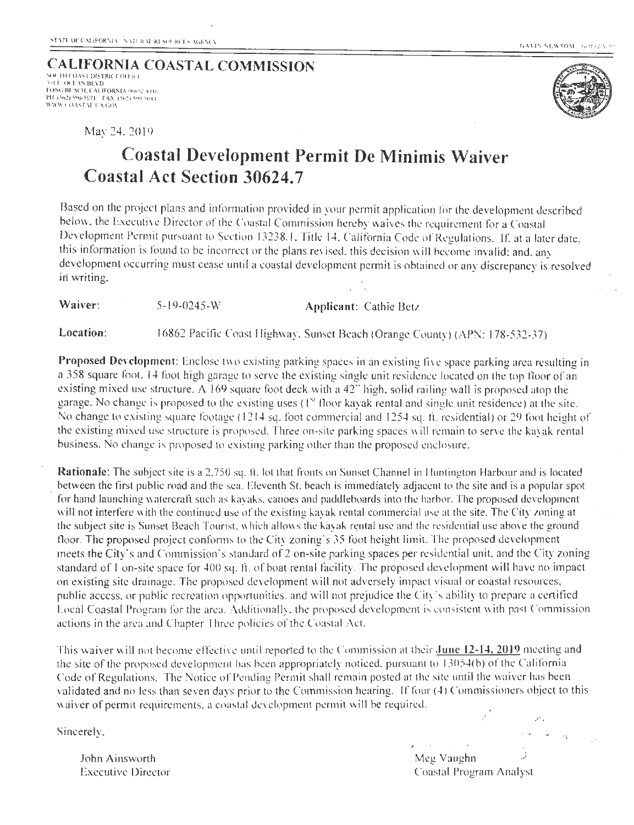GAVIN NEWSOM , GOREEN 9

#### **CALIFORNIA COASTAL COMMISSION**  \ Ot Ill COAST DISTRI( T 0111( I 101 F. OCF AN BEVD **lU.\lG Ul:>\ t "H. CAU FOR:\It\** O.! .a <sup>~</sup>**I(• 1**'11  $\sqrt{3}$   $\frac{1}{2}$   $\sqrt{90}$   $\sqrt{5071}$  . FAX  $\sqrt{562}$  ). Son suka.<br>WWW. COASEAL CA GOV



May 24.2019

# **Coastal Development Permit De Minimis Waiver Coastal Act Section 30624.7**

Based on the project plans and information provided in your permit application for the development described below, the Executive Director of the Coastal Commission hereby waives the requirement for a Coastal Development Permit pursuant to Section 13238.1. Title 14. California Code of Regulations. If, at a later date. this information is found to be incorrect or the plans revised, this decision will become invalid; and, anv development occurring must cease until a coastal development permit is obtained or any discrepancy is resolved in writing.

**Waiver:** 5-19-0245-W **Applicant:** Cathie Betz

Location: 16862 Pacific Coast Highway. Sunset Beach (Orange County) (APN: 178-532-37)

**Proposed Development:** Enclose two existing parking spaces in an existing live space parking area resulting in a 358 square foot. 14 foot high garage to serve the existing single unit residence located on the top floor of an existing mixed use structure. A 169 square foot deck with a  $42$ " high, solid railing wall is proposed atop the garage. No change is proposed to the existing uses  $(1<sup>st</sup>$  floor kayak rental and single unit residence) at the site. No change to existing square footage (1214 sq. foot commercial and 1254 sq. ft. residential) or 29 foot height of the existing mixed use structure is proposed. Three on-site parking spaces will remain to serve the kayak rental business. No change is proposed to existing parking other than the proposed enclosure.

**Rationale:** The subject site is a 2,750 sq. ft. lot that fronts on Sunset Channel in Huntington Harbour and is located between the first public road and the sea. Eleventh St, beach is immediately adjacent to the site and is a popular spot for hand launching watercraft such as kayaks. canoes and paddleboards into the harbor. The proposed deve lopment will not interfere with the continued use of the existing kayak rental commercial use at the site. The City zoning at the subject site is Sunset Beach Tourist, which allows the kayak rental use and the residential use above the ground floor. The proposed project conforms to the City zoning's 35 foot height limit. The proposed development meets the City's and Commission's standard of 2 on-site parking spaces per residential unit, and the City zoning standard of 1 on-site space for 400 sq. ft. of boat rental facility. The proposed development will have no impact on existing site drainage. The proposed development will not adversely impact visual or coastal resources, public access, or public recreation opportunities, and will not prejudice the City's ability to prepare a certified Local Coastal Program for the area. Additionally, the proposed development is consistent with past Commission actions in the area and Chapter Three policies of the Coastal Act.

This waiver will not become effective until reported to the Commission at their **June 12-14, 2019** meeting and the site of the proposed development has been appropriately noticed, pursuant to  $13054(b)$  of the California Code of Regulations. The Notice of Pending Permit shall remain posted at the site until the waiver has been validated and no less than seven days prior to the Commission hearing. If four (4) Commissioners object to this waiver of permit requirements, a coastal development permit will be required. */* 

Sincerely.

ل Meg Vaughn و John Ainsworth Meg Vaughn و Meg Vaughn المستخدم المستخدم المستخدم المستخدم المستخدم المستخدم ال Executive Director Coastal Program Analyst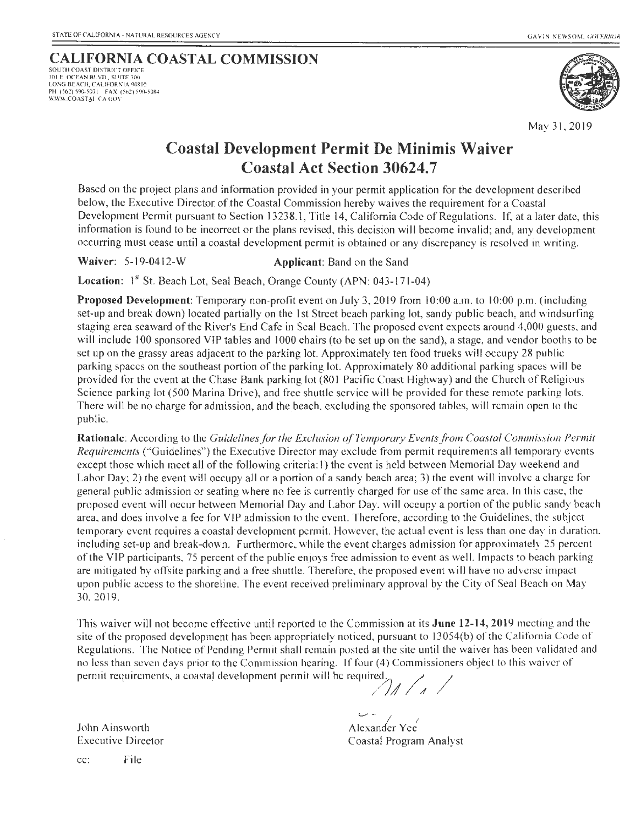#### **CALIFORNIA COASTAL COMMISSION** SOUTH COAST DISTRICT OFFICE 301 E OCEAN BLVD . SUITE 300

LONG BEACH, CALIFORNIA 90802 PH (562) 590-5071 FAX (562) 590-5084 WWW COASTAL CA GOV



May 31, 2019

# **Coastal Development Permit De Minimis Waiver Coastal Act Section 30624.7**

Based on the project plans and information provided in your permit application for the development described below, the Executive Director of the Coastal Commission hereby waives the requirement for a Coastal Development Permit pursuant to Section 13238.1, Title 14, California Code of Regulations. If, at a later date, this information is found to be incorrect or the plans revised, this decision will become invalid; and, any development occurring must cease until a coastal development permit is obtained or any discrepancy is resolved in writing.

## **Waiver:** 5-19-0412-W **Applicant:** Band on the Sand

Location: I<sup>st</sup> St. Beach Lot, Seal Beach, Orange County (APN: 043-171-04)

Proposed Development: Temporary non-profit event on July 3, 2019 from 10:00 a.m. to 10:00 p.m. (including set-up and break down) located partially on the 1st Street beach parking lot, sandy public beach, and windsurfing staging area seaward of the River's End Cafe in Seal Beach. The proposed event expects around 4,000 guests, and will include 100 sponsored VIP tables and 1000 chairs (to be set up on the sand), a stage, and vendor booths to be set up on the grassy areas adjacent to the parking lot. Approximately ten food trucks will occupy 28 public parking spaces on the southeast portion of the parking lot. Approximately 80 additional parking spaces will be provided for the event at the Chase Bank parking lot (80 I Pacific Coast Highway) and the Church of Religious Science parking lot (500 Marina Drive), and free shuttle service will be provided for these remote parking lots. There will be no charge for admission, and the beach, excluding the sponsored tables, will remain open to the public.

**Rationale:** According to the *Guidelinesfor the Exclusion of Temporary Events from Coastal Commission Permit Requirements* ("Guidelines") the Executive Director may exclude from permit requirements all temporary events except those which meet all of the following criteria: I) the event is held between Memorial Day weekend and Labor Day; 2) the event will occupy all or a portion of a sandy beach area; 3) the event will involve a charge for general public admission or seating where no fee is currently charged for use of the same area. In this case, the proposed event will oecur between Memorial Day and Labor Day, will oceupy a portion of the public sandy beach area, and does involve a fee for VIP admission to the event. Therefore, according to the Guidelines, the subject temporary event requires a coastal development permit. However, the actual event is less than one day in duration. including set-up and break-down. Furthermore,. while the event charges admission for approximately 25 percent of the VIP participants, 75 percent of the public enjoys free admission to event as we ll. Impacts to beach parking are mitigated by offsite parking and a free shuttle. Therefore, the proposed event will have no adverse impact upon public access to the shoreline. The event received preliminary approval by the City of Seal Beach on May 30,20 19.

This waiver will not become effective until reported to the Commission at its **June 12-14,2019** meeting and the site of the proposed development has been appropriately noticed, pursuant to 13054(b) of the California Code of Regulations. The Notice of Pending Permit shall remain posted at the site until the waiver has been validated and no less than seven days prior to the Commission hearing. If four (4) Commissioners object to this waiver of no less than seven days prior to the commission train  $\epsilon$  permit requirements, a coastal development permit will be required.

John Ainsworth Executive Director

Alexander Yee 1 Coastal Program Analyst

cc: File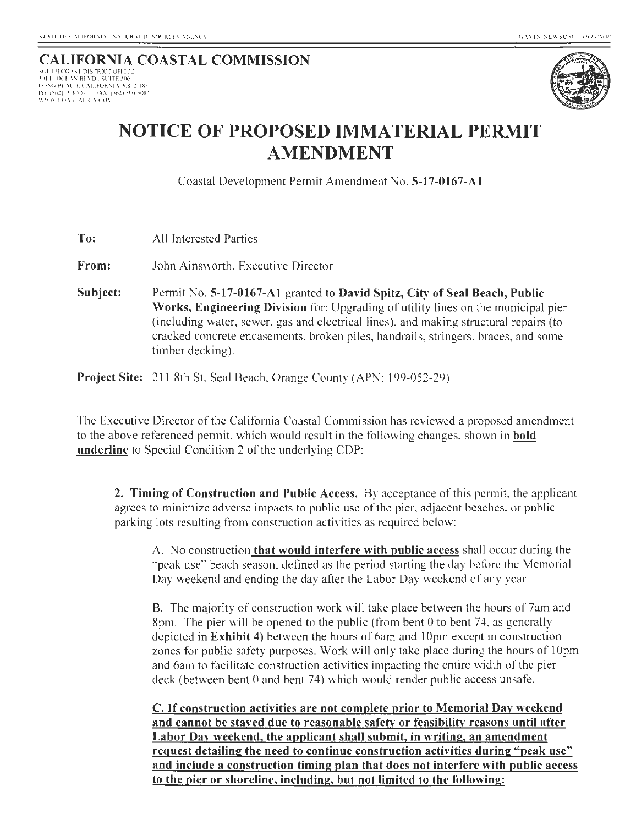# CALIFORNIA COASTAL COMMISSION

10 11: 0 11: BISTRET OFFICE I 01\"G lli· ACI I. ('AI.IFORNIA 90802-4830 PH 1562) 590-5071 - FAX (562) 590-5084<br>WWW.COASTAL.CA.GO<mark>N</mark>



# NOTICE OF PROPOSED IMMATERIAL PERMIT AMENDMENT

Coastal Development Permit Amendment No. 5-17-0167-A1

To: All Interested Parties

From: John Ainsworth. Executive Director

Subject: Permit No. 5-17-0167-A1 granted to David Spitz, City of Seal Beach, Public Works, Engineering Division for: Upgrading of utility lines on the municipal pier (including water, sewer, gas and electrical lines), and making structural repairs (to cracked concrete encasements, broken piles, handrails, stringers, braces. and some timber decking).

**Project Site:** 211 8th St, Seal Beach, Orange County (APN: 199-052-29)

The Executive Director of the California Coastal Commission has reviewed a proposed amendment to the above referenced permit, which would result in the following changes, shown in bold underline to Special Condition 2 of the underlying CDP:

2. Timing of Construction and Public Access. By acceptance of this permit. the applicant agrees to minimize adverse impacts to public use of the pier, adjacent beaches. or public parking lots resulting from construction activities as required below:

A. No construction that would interfere with public access shall occur during the ·'peak use" beach season, defined as the period starting the day before the Memorial Day weekend and ending the day after the Labor Day weekend of any year.

B. The majority of construction work will take place between the hours of 7am and 8pm. The pier will be opened to the public (from bent 0 to bent 74, as generally depicted in Exhibit 4) between the hours of 6am and I Opm except in construction zones for public safety purposes. Work will only take place during the hours of IOpm and 6am to facilitate construction activities impacting the entire width of the pier deck (between bent 0 and bent 74) which would render public access unsafe.

C. If construction activities are not complete prior to Memorial Day weekend and cannot be stayed due to reasonable safety or feasibility reasons until after Labor Day weekend, the applicant shall submit, in writing, an amendment request detailing the need to continue construction activities during "peak use" and include a construction timing plan that does not interfere with public access to the pier or shoreline, including, but not limited to the following: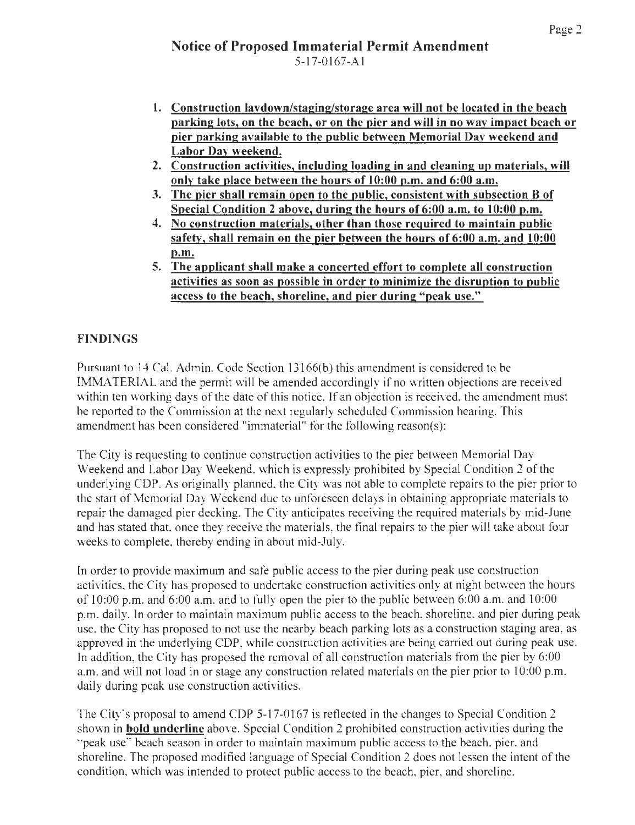- 1. Construction laydown/staging/storage area will not be located in the beach parking lots, on the beach, or on the pier and will in no way impact beach or pier parking available to the public between Memorial Day weekend and Labor Dav weekend.
- 2. Construction activities, including loading in and cleaning up materials, will onlv take place between the hours of 10:00 p.m. and 6:00 a.m.
- 3. The pier shall remain open to the public, consistent with subsection B of Special Condition 2 above, during the hours of 6:00 a.m. to 10:00 p.m.
- 4. No construction materials, other than those required to maintain public safety, shall remain on the pier between the hours of 6:00 a.m. and 10:00 p.m.
- 5. The applicant shall make a concerted effort to complete all construction activities as soon as possible in order to minimize the disruption to public access to the beach, shoreline, and pier during "peak use."

## FINDINGS

Pursuant to 14 Cal. Admin. Code Section 13166(b) this amendment is considered to be IMMATERIAL and the permit will be amended accordingly if no written objections are received within ten working days of the date of this notice. If an objection is received, the amendment must be reported to the Commission at the next regularly scheduled Commission hearing. This amendment has been considered "immaterial" for the following reason(s):

The City is requesting to continue construction activities to the pier between Memorial Day Weekend and Labor Day Weekend, which is expressly prohibited by Special Condition 2 of the underlying COP. As originally planned. the City was not able to complete repairs to the pier prior to the start of Memorial Day Weekend due to unforeseen delays in obtaining appropriate materials to repair the damaged pier decking. The City anticipates receiving the required materials by mid-June and has stated that, once they receive the materials, the final repairs to the pier will take about four weeks to complete, thereby ending in about mid-July.

In order to provide maximum and safe public access to the pier during peak use construction activities, the City has proposed to undertake construction activities only at night between the hours of 10:00 p.m. and  $6:00$  a.m. and to fully open the pier to the public between  $6:00$  a.m. and  $10:00$ p.m. daily. In order to maintain maximum public access to the beach, shoreline, and pier during peak use, the City has proposed to not use the nearby beach parking lots as a construction staging area, as approved in the underlying CDP, while construction activities are being carried out during peak use. In addition, the City has proposed the removal of all construction materials from the pier by 6:00 a.m. and will not load in or stage any construction related materials on the pier prior to 10:00 p.m. daily during peak use construction activities.

The City's proposal to amend CDP 5-17-0167 is reflected in the changes to Special Condition 2 shown in bold underline above. Special Condition 2 prohibited construction activities during the "peak use" beach season in order to maintain maximum public access to the beach. pier. and shoreline. The proposed modified language of Special Condition 2 does not lessen the intent of the condition, which was intended to protect public access to the beach, pier, and shoreline.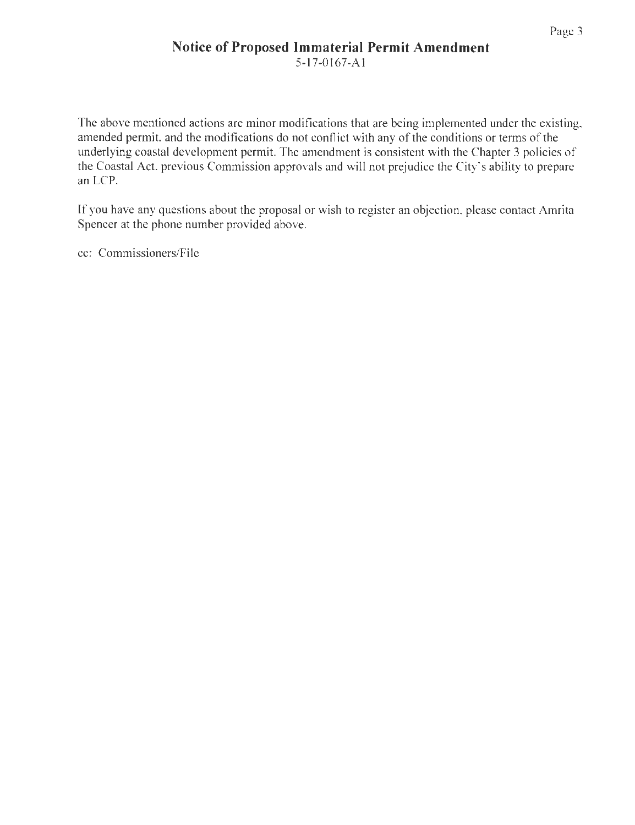## **Notice of Proposed Immaterial Permit Amendment**  5-1 7-0167-A l

The above mentioned actions are minor modifications that are being implemented under the existing, amended permit, and the modifications do not conflict with any of the conditions or terms of the underlying coastal development permit. The amendment is consistent with the Chapter 3 policies of the Coastal Act, previous Commission approvals and will not prejudice the City"s ability to prepare an LCP.

If you have any questions about the proposal or wish to register an objection, please contact Amrita Spencer at the phone number provided above.

cc: Commissioners/File